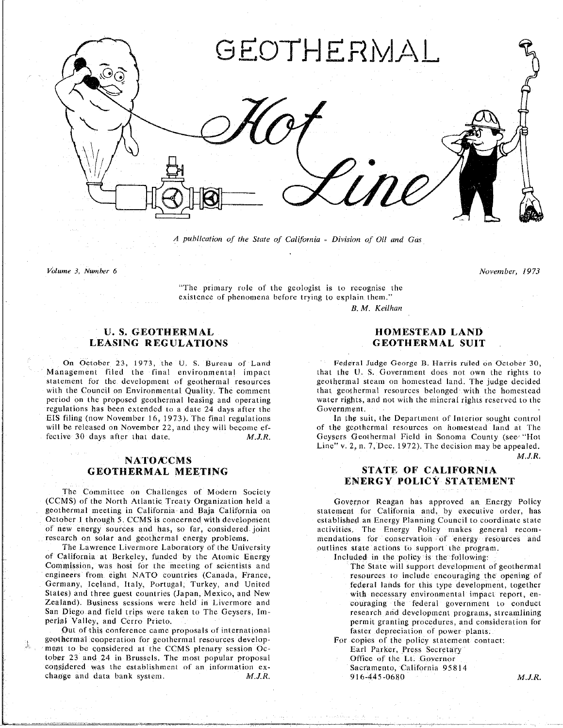

A publication of the State of California - Division of Oil and Gas

Volume 3. *Number* 6 *Novernber*\_ *1973*

 $\frac{1}{2}$  primary role of the primary role of the primary role of the primary role of the primary role of the primary role of the primary role of the primary role of the primary role of the primary role of the primary rol existence of phenomena bef*o*re trying to explain them.

*B*. *M*. *Keilhan*

## U. S. GEOTHERMAL **HOMESTEAD LAND**<br> **HOMESTEAD LAND**<br> **GEOTHERMAL SUIT**  $LEASING REGULATIONS$

statement for the development of geothermal resources geothermal steam on homestead land. The judge decided with the Council on Environmental Quality. The comment that geothermal resources belonged with the homestead period on the proposed geothermal leasing and operating water rights, and not with the mineral rights reserved to the regulations has been extended to a date 24 days after the **confidence** Government. EIS filing (now November 16, 1973). The final regulations **has been as a data between the Suite 4** days and the Suite 25 days and the Suite 25 days and the Suite 25 days after the Government of Interior sought control will be released on November 22, and they will become ef-<br>of the geothermal resources on homestead land at The

# **NATO/CCMS**<br> **STATE OF CALIFORNIA**<br> **STATE OF CALIFORNIA**

T**he Co**m**mi**tt**ee on** C**h**a**llen**g**e**s **o**f **Mo**d**e**r**n** S**ociety** (CCMS) of the North Atlantic Treaty Organization held a Governor Reagan has approved an Energy Policy<br>geothermal meeting in California and Baja California on statement for California and, by executive order, has October 1 through 5. CCMS is concerned with development established an Energy Planning Council to coordinate state of new energy sources and has, so far, considered joint activities. The Energy Policy makes general recom-

of California at Berkeley, funded by the Atomic Energy **of the United State and the policy** is the following: Commission, was host for the meeting of scientists and **Figure 2** The State will support development of geothermal engineers from eight NATO countries (Canada, France, The meeting of secure of include encouraging the opening of Germany, Iceland, Italy, Portugal, Turkey, and United **Entitleers** federal lands for this type development, together States) and three guest countries (Japan, Mexico, and New with necessary environmental impact report, en-Zealand). Business sessions were held in Livermore and **New Young with necessary environmental impact repo**blement to conduct San Diego and field trips were taken to The Geysers, Im-<br>research and development programs, streamlining perial Valley, and Cerro Prieto. In the Georgian to The German of the German procedures, and consideration for

Out of this conference came proposals of international faster depreciation of power plants, geothermal cooperation for geothermal resources develop-**For** copies of the policy statement contact: ment to be considered at the CCMS plenary session Oc-<br>
For Formal Parker, Press Secretary tober 23 and 24 in Brussels. The most popular proposal **considered A. L. CO.** Office of the Lt. Governor considered was the establishment of an information ex-<br>
Sacramento, California 95814 change and data bank system. M.J.R. 916-445-0680 cha**t**\_ge and data bank system *M*.*J*.*R*, 916-445-0680 *M*.*J*.*R*.

On October 23, 1973, the U. S. Bureau of Land Federal Judge George B. Harris ruled on October 30,<br>Management filed the final environmental impact that the U. S. Government does not own the rights to

fective 30 days after that date. M.J.R. Geysers Geothermal Field in Sonoma County (see "Hot Line" v. 2, n. 7, Dec. 1972). The decision may be appealed. Line" v, 2. n. 7. Dec. 1972t. The decision may be appealed.

# GEOTHERMAL MEETING S**TATE** O**F CALIFO**R**N**I**A E**N**ERGY POL**I**CY STATEMENT**

research on solar and geothermal energy problems. The mendations for conservation of energy resources and The Lawrence Livermore Laboratory of the University **problems** outlines state actions to support the program.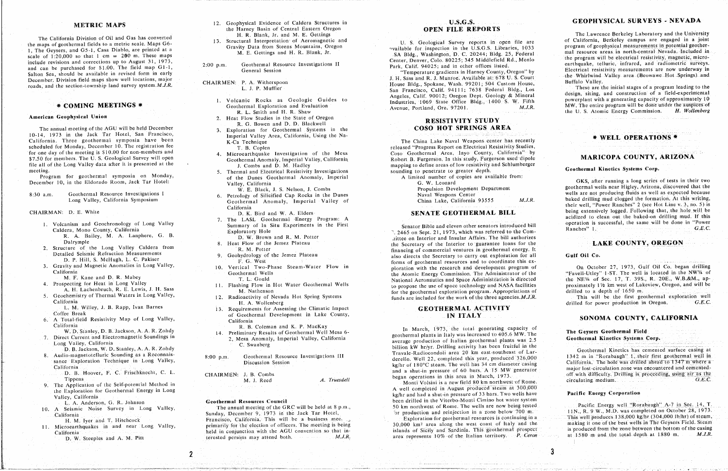1, The Geysers, and G5-1, Casa Diablo, are printed at a<br>M. E. Gettings and H. R. Blank, Jr. 8. SA Bldg., Washington, D. C. 20244; Bldg. 25, Federal mal resource areas in north-central Nevada, Included in scale of 1.20,000 so that 1 cm =  $200$  m. These maps scale of 1:20,000 so that 1 cm = 200 m. These maps and the scale of 1:20,000 so that 1 cm = 200 m. These maps and H R R Blank Californer Denver, Colo. 80225; 345 Middlefield Rd., Menlo<br>include revisions and corrections up and can be purchased for \$1.00. The field map G1-1, 2:00 p.m. Geothermal Resource Investigations II Park, Calif. 94025; and in other offices listed. earthquake, telluric, intrared, and radiometric surveys.<br>Ceneral Session General Session<br>
Salton Sea, should be available in revised form in early<br>
Salton Sea, should be available in revised form in early<br>
Temperature gradients in Harney County, Oregon'' by the Whirlwind Valley area (Beowawe Ho Salton Sea, should be available in Fernol Channel Channel Channel Search Temperature gradients in the Whirlwind<br>December, Division field maps show well locations, major CHAIRMEN: P. A. Witherspoon House Bldg, Spokane Wash December. December. December. December. December. December. December. December. December. 2003. Spokane, Wash. 99201; 504 Custom House, Buffalo Valley. Buffalo Valley. Buffalo Valley. Buffalo Valley. Buffalo Valley. These

#### American Geophysical Union

The annual method of the *ACU* meeting of the *ACU* meeting of the *ACU* meeting of the *ACU* and *Internal Systems m* the *Continuent* of *California*, Using the Na-<br> *P* Technique scheduled for Monday, December 10. The registration fee The *Ca* Technique The *China Lake Naval Weapons* center has recently the *China Lake Naval Weapons* contents the *China Lake Naval Weapons center has recentively* th for one day of the meeting is \$10.00 for non-members and <br>4. Microearthquake Investigation of the Mesa Coso Geothermal Area, Inyo County, California" by \$7.50 for members. The U. S. Geological Survey will open Geothermal Anomaly, Imperial Valley, California Robert B. Furgerson. In this study, Furgerson used dipole File all of the Long Valley data after it is presented at the the completed at the complete the complete the meeting of the areas of low resistivity and Schlumberger and D. M. Hadley data after it is presented at the secon file all of the Long Valley of the Long Valley data and Electrical Resistivity Investigations sounding to penetrate to greater depth.

Program for geothermal symposia on Monday, of the Dunes Geothermal Anomaly, Imperial Anomaly, Imperial Anomaly, Investigation and Anomal Anomal Anomal Anomal Anomal Anomal Anomal Anomal Anomal Anomal Anomal Anomal Anomal C Program for geometric 10, in the Eldorado Room, Jack Tar Hotel:<br>
Valley, California G. W. Leonard

 $8:30$  a.m.

#### CHAIRMAN: D. E. White

- 1. Volcanism and Geochronology of Long Valley
- 
- 
- -
- 
- 

Conference Break of George Break of George County, **In California** California<br>California

- 
- D. B. Jackson, W. D. Stanley, A. A. R. Zohdy
- 
- 
- 

- 12. Geophysical Evidence of Caldera Structures in **METRIC MAPS** 12. Geophysical Evidence of Caldera Structures in **U.S.C.S. GEORTS** the Harney Basin of Central Eastern Oregon **and M. E. Geophysical Evidence Caldera Structures in OPEN FILE REPORTS** The Lawrence Berkel  $H$ , R. Blank, Jr. and M. E. Gettings
	-
	-
	- - 1. Volcanic Rocks as Geologic Guides to
		- 2. Heat Flow Studies in the State of Oregon **RESISTIVITY STUDY**
		-
		-
		-
		-
- Eong Valley, California Symposium Geothermal Anomaly, Imperial Valley of China Lake, California 93555 M.J.R.
	-
	-
	-
	- -
	-
	-
	-
	-
- L. M. Willey, J. B. Rapp, Ivan Barnes 13. Requirements for Assessing the Climatic Impact **GEOTHERMAL ACTIVITY** L. M**.** Willey, **J** B. Rapp, Ivan Barnes 13. Requirements f**o**r Assessing the Clilnatic hnpacl **GEOT**HE**RMA**L **AC**TIVI**TY**
	-
	- Example B. B. Coleman and K. P. MacKay<br>W.D. Stanley, D. B. Jackson, A. A. R. Zohdy<br>14. Preliminary Results of Geothermal Well Mesa 6-
		-
		-

20. A Seismic Noise Survey m Long Valley, The Annual meeting of the GRC will be held at 8 p.m., Sec. 2011 and the GRC will be held at 8 p.m., Sec. 2013.<br>California This will be held at 8 p.m. Sec. 2011 and tempels of the G The Sunday, December 9. 1973 in the Jack Tar Hotel. "Sunday, December 1988 in the Leaguest of the December 2000 m. Production and results and the School (Seam, This well produces 138,000 kg/hr (304,000 lb/hr) of steam,<br>H. H. Microearthquakes in and near Long Valley, primarily for the election of officers. The meeting is being 30,000 km<sup>2</sup> area along the west coast of Italy and the making it one of the best wells in the Geysers Freid, Steam, 111 Microearthquakes in and near Long Valley, primarily for the election of the election of the meeting is area along the meeting is area along the meeting is area along the making it one of the meeting is area along the M D. W. Steeples and A. M. Pitt consumed the example in the Sicilian society and Society and Sardinia. The Ceron D. W. Steeples and A. M*,* Pitt terested persons may attend both*. M*.*J*.*R*. area represents 10% of the **I**talian territ*o*ly. *P*. *Ceron* at t580 m and the t*o*tal depth at 1880 m *M*.*J*.*R*.

# **U.S.G.S.**

San Francisco, Calif. 94111; 7638 Federal Bldg., Los Industries, 1069 State Office Bldg., 1400 S. W. Fifth

# **EXAMPLE AND AMERICAL RESISTIVITY STUDIES**<br> **BEOPHITY AREA**<br> **BEOPHITY AREA**<br> **BEOPHITY AREA**<br> **BEOPHITY AREA**

10. Imperial Valley Area, California, Using the Na-<br>
1. 14. 1973 K-Ca Technique<br>
1. B. Coplen<br>
1. B. Coplen<br>
1. B. Coplen

1. Volcanism and Georgia Caldera, Mono County, California<br>1. A. Bailey, M. A. Lanphere, G. B.<br>1. D. W. Brown and R. M. Potter and electronomics and Incident Senators introduced bill operation is successful to the same with D. W. Brown and R. M. Potter and to the exploration of Sept. 21. 1973. Which was referred to the exploratory Hole and Insular Affairs. The bill authorizes R. *R. R. A. Potter* M. *A Langery Caldera* Companies on Interior and Interior to guarantee loans for the exception of the Secretary of the Secretary of the Secretary of the Secretary of the Secretary Insular Affairs. The Detailed Seismic Refraction Measurements **Executive 8. M. Potter** Financing of commercial ventures in geothermal energy. It financing of commercial ventures in geothermal energy. It Detailed Seismic Refraction Measurements 2. Structure of the Long Valley Caldera from Reserve the Long Valley Caldera from R M. Politics and Secretary to carry out exploration for all<br>D. P. Hill, S. McHugh, L. C. Pakiser F. G. West F. G. West T. West T. West T. S D. P. Hill, S. McHugh, L. C. Pakiser<br>3. Gravity and Magnetic Anomalies in Long Valley, **10. Vertical Two-Phase.** Steam-Water Flow in forms of geothermal resources and to coordinate this ex-<br>10. Vertical Two-Phase. Steam-Wa 10. Vertical Two-Phase Steam-Water Flow in ploration with the research and development program of California Geothermal Wells and Space Administration is directed<br>4. Prospecting for Heat in Long Valley 11 Flashing Flow in Hot Water Geothermal Wells the meaning of the was of the meaning and NASA facilities 4. H. Lachenbruch, R. E. Lewis, J. H. Sass M. Nathenson M. Nathenson Systems of the use of the use of the use of the use of the use of the use of the use of the use of the use of the use of the use of the use of the use of 12. Radioactivity of Nevada Hot Spring Systems funds are included for the work of the three agencies. M.J.R. This will be the first geothermal exploration well

W.D. Stanley, D. B. Statleson, A.A.R. Zohny<br>
2. Mesa Anomaly, Imperial Valley, California and Electromagnetic Soundings in 14. Preliminary Results of Geothermal Well Mesa 6-<br>
2. Mesa Anomaly, Imperial Valley, California av exa Anomaly, Imperial Valley, California **and Expediment plants in flant was increased to 405.6 MW. The Geothermal Kinetics Systems Corp.<br>C. Swanberg<br>C. Swanberg** billion kW hr/yr. Drilling activity has been fruitful in the Geothermal Kinetics has cemented surface casing at **California** kg/hr of 180°C steam. The well has 34 cm diameter casing<br> **CHAIRMEN:** J. B. Combs<br>
CHAIRMEN: J. B. Combs

Tippens and the Self-potential Method in M. J. Reed M. J. Reed A. Truesdell Monti Volsini is a new field 80 km northwest of Rome. circulating medium. 9. The Application of the Self-potential Method in a month was the Monti Volsini is a new field 80 km northwest of Rome.<br>
the Exploration for Geothermal Energy in Long and Monti Volsini is a new field 80 km northwest of Ro the Exploration for Geothermal Energy in Long  $\log h$  wells have  $\log h$  and had a shut-in pressure of 33 bars. Two wells have Evaluation of the Section of the Section of the Section of the Section of the Section of the Section of Bone of Bone and the Viterbo-Monti Cimino hot water system<br>1. A Anderson, G. R. Johnson **Section Corporation of the CP** 10. A Seismic Noise Survey in Long Valley, The annual meeting of the GRC will be held at 8 p.m., 50 km northwest of Rome. The wells are now being tested

## GEOPHYSICAL SURVEYS - NEVADA

The California Division of Oil and Gas has converted h.R. Blank, J. and M.E. Gettings and M.E. Collegial Survey reports in open file are of California, Berkeley Caporatory and the University<br>the maps of geothermal fields t

L. 1989, H. J. P. P. P. M. P. P. M. P. P. P. Mineral Bldg., Los design, siting, and construction of a field-experimental<br>Angeles, Calif. 90012; Oregon Dept. Geology & Mineral bowerplant with a generating capacity of approx 1. Geothermal Exploration and Evaluation Mercies. 1069 State Office Bldg., 1400 S. W. The entire program will be done under the auspices of My R. L. Smith and H. R. Shaw R. L. Smith and H. R. Shaw R. Wollenberg **COMING MEETINGS** \* Geothermal Exploration and Evaluation Avenue, Portland. Ore. 97201. *M.J.R.* MW. The entire program will be done under the auspices of R. L. Smith and H. R. Shaw the U. S. Atomic Energy Commission. *H.* 

## MARICOPA COUNTY, ARIZONA

Valley, California Care Valley, California Care Valley, California Care Valley, Arizona, discovered that the W. E. Black, J. S. Nelson, J. Combs<br>
Geothermal Resource Investigations I 6. Petrology of Silicified Can Rocks in W. E. Black, J. S. Person, J. Combs Propulsion Development Department geothermal wells are not producing fluids as well as expected because<br>
Already of the California 23555 MIR baked drilling mud clogged the formation. At Long Valifornia Submary, Imperial Valley of California California System Music Music Their well, "Power Ranches" 2 (see Hot Line v. 3, no. 5) is<br>California IT THE SENATE GEOTHERMAL BILL being extensively logged. Following that, the hole will be D. K. Bird and W. A. Elders and the mode will be seen all the mode will be seen all the model of the model of the model of the model CHAIRMAN: D. R. Bird and W. A. Eiders SENATE GEOTHERRMAN: BILL being acidized to clean out the baked-on drilling mud. If this acidized to clean out the baked-on drilling mud. If this The LASL Geometrical Energy Program: A access of the Birst Senator Bible and eleven other senators introduced bill operation is successful, the same will be done in "Power<br>Senator Bible and eleven other senators introduced

## **LAKE COUNTY, OREGON**

### Gulf Oil Co.

On October 27, 1973, Gulf Oil Co. began drilling 3, Gravity and D. R. Mabey<br>3, Gravity and Magnetic Anomalies in L. Gould<br>3. Vertical Magnetics and Space Steam-Water Steam-Water Magnetic Anomalies and Space Steam-Water 20. 1983*.* R. 2093*.* R. 2093*.* W.B.&M., ap-Specting for Heat in Long Valley and Dalley 11. Flashing Flow in Hot Water Geothermal Wells to propose the use of space technology and NASA facilities proximately 11/2 km west of Lakeview, Oregon, and will be to a sec. 188

California drilled for power production in Oregon. G.E.C.

# The Geysers Geothermal Field

D. B. States of Larce Casing at a connect of Larce Casing at a connect of Larce Casing at a connect of Larce Casing at Audio-magnetotelluric Sounding as a Reconnais-<br>Bance Exploration Technique in Long Valley, biscussion S sance Exploration recoundue in Long variety,<br>
Siscussion Session<br>
Siscussion Session National Report of 180<sup>o</sup>C steam. The well has 34 cm diameter casing California. The hole was drilled ahead to 1347 m where a and a shut-in pressure of 60 bars. A 15 MW generator method off with difficulty. Drilling is proceeding, using air as the equal of  $G.E.C$ .<br>Magnetions in this area in March, 1973.

### **Pacific Energy Corporation**